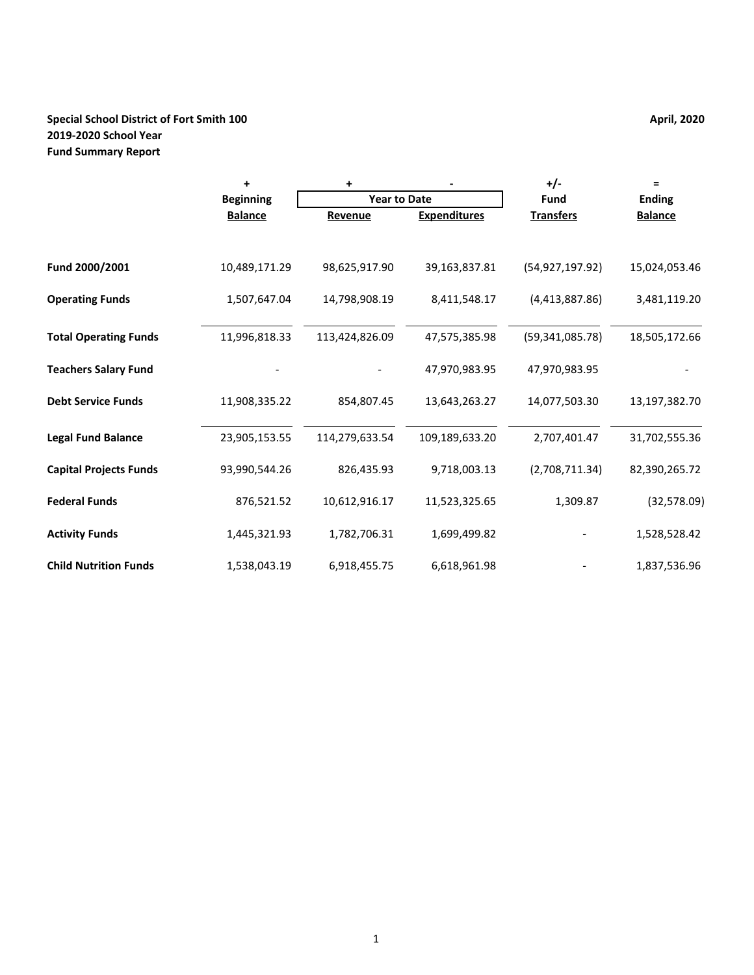# **Special School District of Fort Smith 100 April, 2020 April, 2020 2019-2020 School Year Fund Summary Report**

|                               | $\ddot{}$        | +                   |                     | +/-               | Ξ              |
|-------------------------------|------------------|---------------------|---------------------|-------------------|----------------|
|                               | <b>Beginning</b> | <b>Year to Date</b> |                     | <b>Fund</b>       | <b>Ending</b>  |
|                               | <b>Balance</b>   | Revenue             | <b>Expenditures</b> | <b>Transfers</b>  | <b>Balance</b> |
|                               |                  |                     |                     |                   |                |
| Fund 2000/2001                | 10,489,171.29    | 98,625,917.90       | 39,163,837.81       | (54, 927, 197.92) | 15,024,053.46  |
| <b>Operating Funds</b>        | 1,507,647.04     | 14,798,908.19       | 8,411,548.17        | (4,413,887.86)    | 3,481,119.20   |
| <b>Total Operating Funds</b>  | 11,996,818.33    | 113,424,826.09      | 47,575,385.98       | (59, 341, 085.78) | 18,505,172.66  |
| <b>Teachers Salary Fund</b>   |                  |                     | 47,970,983.95       | 47,970,983.95     |                |
| <b>Debt Service Funds</b>     | 11,908,335.22    | 854,807.45          | 13,643,263.27       | 14,077,503.30     | 13,197,382.70  |
| <b>Legal Fund Balance</b>     | 23,905,153.55    | 114,279,633.54      | 109,189,633.20      | 2,707,401.47      | 31,702,555.36  |
| <b>Capital Projects Funds</b> | 93,990,544.26    | 826,435.93          | 9,718,003.13        | (2,708,711.34)    | 82,390,265.72  |
| <b>Federal Funds</b>          | 876,521.52       | 10,612,916.17       | 11,523,325.65       | 1,309.87          | (32,578.09)    |
| <b>Activity Funds</b>         | 1,445,321.93     | 1,782,706.31        | 1,699,499.82        |                   | 1,528,528.42   |
| <b>Child Nutrition Funds</b>  | 1,538,043.19     | 6,918,455.75        | 6,618,961.98        |                   | 1,837,536.96   |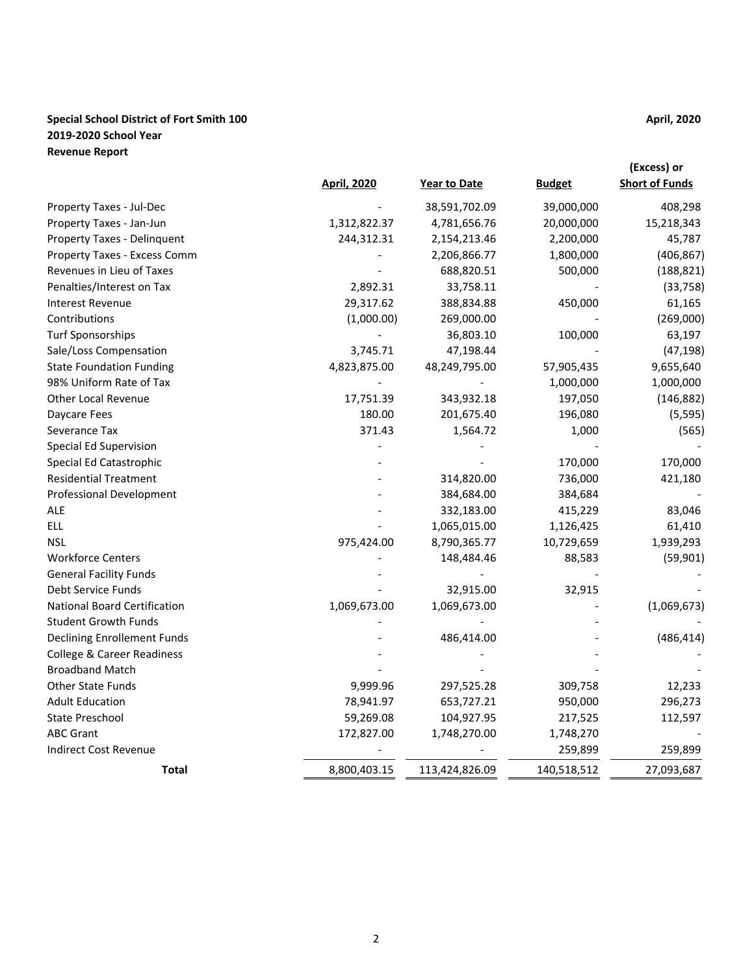# **Special School District of Fort Smith 100 April, 2020 April, 2020 2019-2020 School Year Revenue Report**

|                                                        | <b>April, 2020</b> | Year to Date            | <b>Budget</b> | (Excess) or<br><b>Short of Funds</b> |
|--------------------------------------------------------|--------------------|-------------------------|---------------|--------------------------------------|
| Property Taxes - Jul-Dec                               |                    | 38,591,702.09           | 39,000,000    | 408,298                              |
| Property Taxes - Jan-Jun                               | 1,312,822.37       | 4,781,656.76            | 20,000,000    | 15,218,343                           |
| Property Taxes - Delinquent                            |                    |                         |               |                                      |
|                                                        | 244,312.31         | 2,154,213.46            | 2,200,000     | 45,787                               |
| Property Taxes - Excess Comm                           |                    | 2,206,866.77            | 1,800,000     | (406, 867)                           |
| Revenues in Lieu of Taxes<br>Penalties/Interest on Tax | 2,892.31           | 688,820.51<br>33,758.11 | 500,000       | (188, 821)                           |
|                                                        |                    |                         |               | (33, 758)                            |
| <b>Interest Revenue</b>                                | 29,317.62          | 388,834.88              | 450,000       | 61,165                               |
| Contributions                                          | (1,000.00)         | 269,000.00              |               | (269,000)                            |
| <b>Turf Sponsorships</b>                               |                    | 36,803.10               | 100,000       | 63,197                               |
| Sale/Loss Compensation                                 | 3,745.71           | 47,198.44               |               | (47, 198)                            |
| <b>State Foundation Funding</b>                        | 4,823,875.00       | 48,249,795.00           | 57,905,435    | 9,655,640                            |
| 98% Uniform Rate of Tax                                |                    |                         | 1,000,000     | 1,000,000                            |
| <b>Other Local Revenue</b>                             | 17,751.39          | 343,932.18              | 197,050       | (146, 882)                           |
| Daycare Fees                                           | 180.00             | 201,675.40              | 196,080       | (5, 595)                             |
| Severance Tax                                          | 371.43             | 1,564.72                | 1,000         | (565)                                |
| Special Ed Supervision                                 |                    |                         |               |                                      |
| Special Ed Catastrophic                                |                    |                         | 170,000       | 170,000                              |
| <b>Residential Treatment</b>                           |                    | 314,820.00              | 736,000       | 421,180                              |
| <b>Professional Development</b>                        |                    | 384,684.00              | 384,684       |                                      |
| ALE                                                    |                    | 332,183.00              | 415,229       | 83,046                               |
| <b>ELL</b>                                             |                    | 1,065,015.00            | 1,126,425     | 61,410                               |
| <b>NSL</b>                                             | 975,424.00         | 8,790,365.77            | 10,729,659    | 1,939,293                            |
| <b>Workforce Centers</b>                               |                    | 148,484.46              | 88,583        | (59, 901)                            |
| <b>General Facility Funds</b>                          |                    |                         |               |                                      |
| Debt Service Funds                                     |                    | 32,915.00               | 32,915        |                                      |
| <b>National Board Certification</b>                    | 1,069,673.00       | 1,069,673.00            |               | (1,069,673)                          |
| <b>Student Growth Funds</b>                            |                    |                         |               |                                      |
| <b>Declining Enrollement Funds</b>                     |                    | 486,414.00              |               | (486, 414)                           |
| <b>College &amp; Career Readiness</b>                  |                    |                         |               |                                      |
| <b>Broadband Match</b>                                 |                    |                         |               |                                      |
| Other State Funds                                      | 9,999.96           | 297,525.28              | 309,758       | 12,233                               |
| <b>Adult Education</b>                                 | 78,941.97          | 653,727.21              | 950,000       | 296,273                              |
| <b>State Preschool</b>                                 | 59,269.08          | 104,927.95              | 217,525       | 112,597                              |
| <b>ABC Grant</b>                                       | 172,827.00         | 1,748,270.00            | 1,748,270     |                                      |
| <b>Indirect Cost Revenue</b>                           |                    |                         | 259,899       | 259,899                              |
| <b>Total</b>                                           | 8,800,403.15       | 113,424,826.09          | 140,518,512   | 27,093,687                           |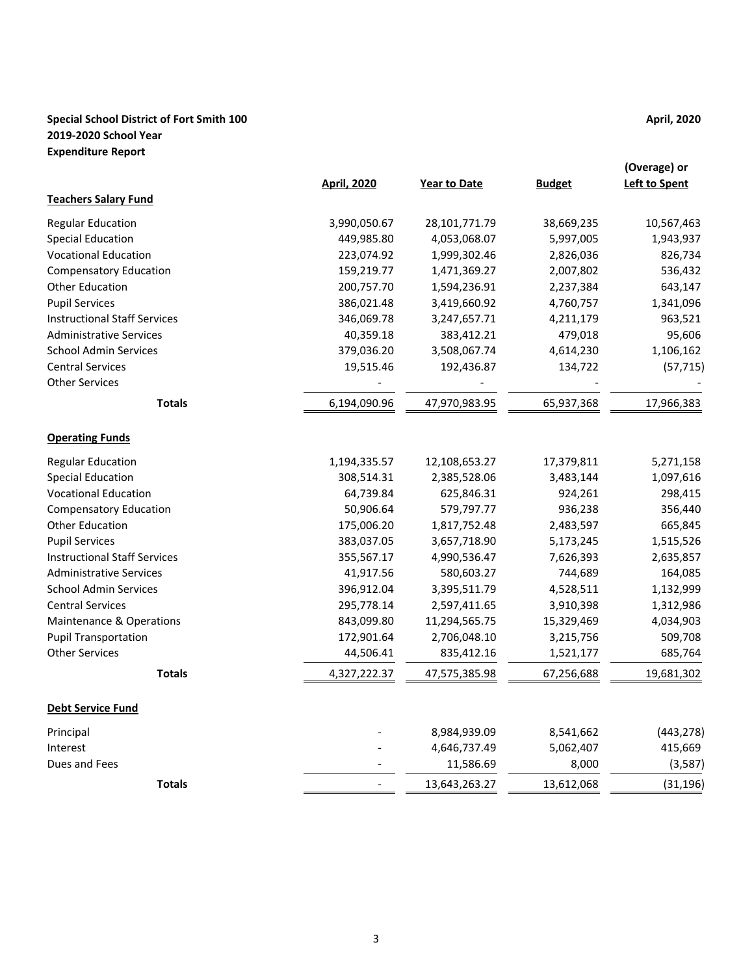# **Special School District of Fort Smith 100 April, 2020 April, 2020 2019-2020 School Year Expenditure Report**

|                                     | <b>April, 2020</b> | <b>Year to Date</b> | <b>Budget</b> | (Overage) or<br><b>Left to Spent</b> |
|-------------------------------------|--------------------|---------------------|---------------|--------------------------------------|
| <b>Teachers Salary Fund</b>         |                    |                     |               |                                      |
| <b>Regular Education</b>            | 3,990,050.67       | 28,101,771.79       | 38,669,235    | 10,567,463                           |
| <b>Special Education</b>            | 449,985.80         | 4,053,068.07        | 5,997,005     | 1,943,937                            |
| <b>Vocational Education</b>         | 223,074.92         | 1,999,302.46        | 2,826,036     | 826,734                              |
| <b>Compensatory Education</b>       | 159,219.77         | 1,471,369.27        | 2,007,802     | 536,432                              |
| Other Education                     | 200,757.70         | 1,594,236.91        | 2,237,384     | 643,147                              |
| <b>Pupil Services</b>               | 386,021.48         | 3,419,660.92        | 4,760,757     | 1,341,096                            |
| <b>Instructional Staff Services</b> | 346,069.78         | 3,247,657.71        | 4,211,179     | 963,521                              |
| <b>Administrative Services</b>      | 40,359.18          | 383,412.21          | 479,018       | 95,606                               |
| <b>School Admin Services</b>        | 379,036.20         | 3,508,067.74        | 4,614,230     | 1,106,162                            |
| <b>Central Services</b>             | 19,515.46          | 192,436.87          | 134,722       | (57, 715)                            |
| <b>Other Services</b>               |                    |                     |               |                                      |
| <b>Totals</b>                       | 6,194,090.96       | 47,970,983.95       | 65,937,368    | 17,966,383                           |
| <b>Operating Funds</b>              |                    |                     |               |                                      |
| <b>Regular Education</b>            | 1,194,335.57       | 12,108,653.27       | 17,379,811    | 5,271,158                            |
| <b>Special Education</b>            | 308,514.31         | 2,385,528.06        | 3,483,144     | 1,097,616                            |
| <b>Vocational Education</b>         | 64,739.84          | 625,846.31          | 924,261       | 298,415                              |
| <b>Compensatory Education</b>       | 50,906.64          | 579,797.77          | 936,238       | 356,440                              |
| Other Education                     | 175,006.20         | 1,817,752.48        | 2,483,597     | 665,845                              |
| <b>Pupil Services</b>               | 383,037.05         | 3,657,718.90        | 5,173,245     | 1,515,526                            |
| <b>Instructional Staff Services</b> | 355,567.17         | 4,990,536.47        | 7,626,393     | 2,635,857                            |
| <b>Administrative Services</b>      | 41,917.56          | 580,603.27          | 744,689       | 164,085                              |
| <b>School Admin Services</b>        | 396,912.04         | 3,395,511.79        | 4,528,511     | 1,132,999                            |
| <b>Central Services</b>             | 295,778.14         | 2,597,411.65        | 3,910,398     | 1,312,986                            |
| Maintenance & Operations            | 843,099.80         | 11,294,565.75       | 15,329,469    | 4,034,903                            |
| <b>Pupil Transportation</b>         | 172,901.64         | 2,706,048.10        | 3,215,756     | 509,708                              |
| <b>Other Services</b>               | 44,506.41          | 835,412.16          | 1,521,177     | 685,764                              |
| <b>Totals</b>                       | 4,327,222.37       | 47,575,385.98       | 67,256,688    | 19,681,302                           |
| <b>Debt Service Fund</b>            |                    |                     |               |                                      |
| Principal                           |                    | 8,984,939.09        | 8,541,662     | (443, 278)                           |
| Interest                            |                    | 4,646,737.49        | 5,062,407     | 415,669                              |
| Dues and Fees                       |                    | 11,586.69           | 8,000         | (3,587)                              |
| <b>Totals</b>                       |                    | 13,643,263.27       | 13,612,068    | (31, 196)                            |
|                                     |                    |                     |               |                                      |